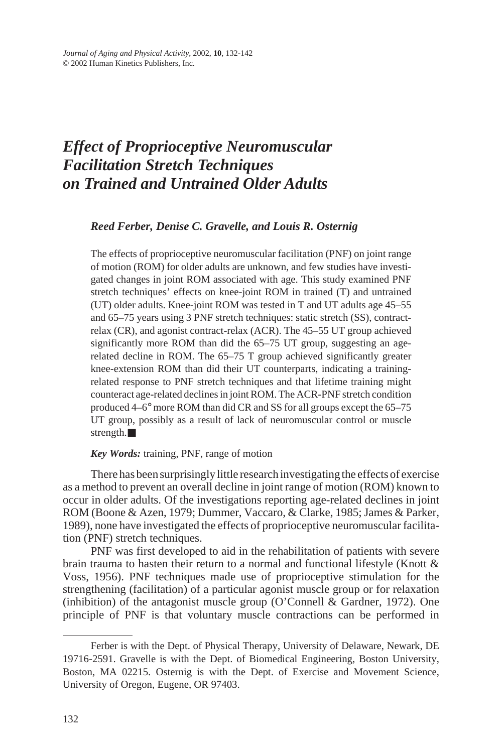# *Effect of Proprioceptive Neuromuscular Facilitation Stretch Techniques on Trained and Untrained Older Adults*

## *Reed Ferber, Denise C. Gravelle, and Louis R. Osternig*

The effects of proprioceptive neuromuscular facilitation (PNF) on joint range of motion (ROM) for older adults are unknown, and few studies have investigated changes in joint ROM associated with age. This study examined PNF stretch techniques' effects on knee-joint ROM in trained (T) and untrained (UT) older adults. Knee-joint ROM was tested in T and UT adults age 45–55 and 65–75 years using 3 PNF stretch techniques: static stretch (SS), contractrelax (CR), and agonist contract-relax (ACR). The 45–55 UT group achieved significantly more ROM than did the 65–75 UT group, suggesting an agerelated decline in ROM. The 65–75 T group achieved significantly greater knee-extension ROM than did their UT counterparts, indicating a trainingrelated response to PNF stretch techniques and that lifetime training might counteract age-related declines in joint ROM. The ACR-PNF stretch condition produced 4–6° more ROM than did CR and SS for all groups except the 65–75 UT group, possibly as a result of lack of neuromuscular control or muscle strength.■

## *Key Words:* training, PNF, range of motion

There has been surprisingly little research investigating the effects of exercise as a method to prevent an overall decline in joint range of motion (ROM) known to occur in older adults. Of the investigations reporting age-related declines in joint ROM (Boone & Azen, 1979; Dummer, Vaccaro, & Clarke, 1985; James & Parker, 1989), none have investigated the effects of proprioceptive neuromuscular facilitation (PNF) stretch techniques.

PNF was first developed to aid in the rehabilitation of patients with severe brain trauma to hasten their return to a normal and functional lifestyle (Knott  $\&$ Voss, 1956). PNF techniques made use of proprioceptive stimulation for the strengthening (facilitation) of a particular agonist muscle group or for relaxation (inhibition) of the antagonist muscle group (O'Connell & Gardner, 1972). One principle of PNF is that voluntary muscle contractions can be performed in

Ferber is with the Dept. of Physical Therapy, University of Delaware, Newark, DE 19716-2591. Gravelle is with the Dept. of Biomedical Engineering, Boston University, Boston, MA 02215. Osternig is with the Dept. of Exercise and Movement Science, University of Oregon, Eugene, OR 97403.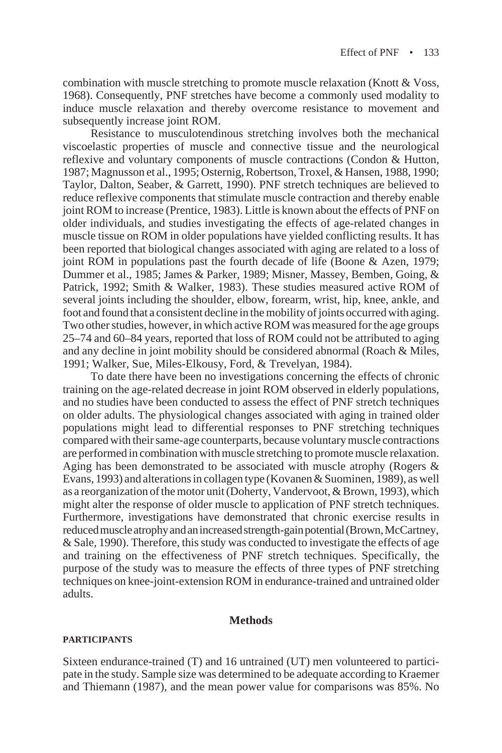combination with muscle stretching to promote muscle relaxation (Knott & Voss, 1968). Consequently, PNF stretches have become a commonly used modality to induce muscle relaxation and thereby overcome resistance to movement and subsequently increase joint ROM.

Resistance to musculotendinous stretching involves both the mechanical viscoelastic properties of muscle and connective tissue and the neurological reflexive and voluntary components of muscle contractions (Condon & Hutton, 1987; Magnusson et al., 1995; Osternig, Robertson, Troxel, & Hansen, 1988, 1990; Taylor, Dalton, Seaber, & Garrett, 1990). PNF stretch techniques are believed to reduce reflexive components that stimulate muscle contraction and thereby enable joint ROM to increase (Prentice, 1983). Little is known about the effects of PNF on older individuals, and studies investigating the effects of age-related changes in muscle tissue on ROM in older populations have yielded conflicting results. It has been reported that biological changes associated with aging are related to a loss of joint ROM in populations past the fourth decade of life (Boone & Azen, 1979; Dummer et al., 1985; James & Parker, 1989; Misner, Massey, Bemben, Going, & Patrick, 1992; Smith & Walker, 1983). These studies measured active ROM of several joints including the shoulder, elbow, forearm, wrist, hip, knee, ankle, and foot and found that a consistent decline in the mobility of joints occurred with aging. Two other studies, however, in which active ROM was measured for the age groups 25–74 and 60–84 years, reported that loss of ROM could not be attributed to aging and any decline in joint mobility should be considered abnormal (Roach & Miles, 1991; Walker, Sue, Miles-Elkousy, Ford, & Trevelyan, 1984).

To date there have been no investigations concerning the effects of chronic training on the age-related decrease in joint ROM observed in elderly populations, and no studies have been conducted to assess the effect of PNF stretch techniques on older adults. The physiological changes associated with aging in trained older populations might lead to differential responses to PNF stretching techniques compared with their same-age counterparts, because voluntary muscle contractions are performed in combination with muscle stretching to promote muscle relaxation. Aging has been demonstrated to be associated with muscle atrophy (Rogers & Evans, 1993) and alterations in collagen type (Kovanen & Suominen, 1989), as well as a reorganization of the motor unit (Doherty, Vandervoot, & Brown, 1993), which might alter the response of older muscle to application of PNF stretch techniques. Furthermore, investigations have demonstrated that chronic exercise results in reduced muscle atrophy and an increased strength-gain potential (Brown, McCartney, & Sale, 1990). Therefore, this study was conducted to investigate the effects of age and training on the effectiveness of PNF stretch techniques. Specifically, the purpose of the study was to measure the effects of three types of PNF stretching techniques on knee-joint-extension ROM in endurance-trained and untrained older adults.

#### **Methods**

## **PARTICIPANTS**

Sixteen endurance-trained (T) and 16 untrained (UT) men volunteered to participate in the study. Sample size was determined to be adequate according to Kraemer and Thiemann (1987), and the mean power value for comparisons was 85%. No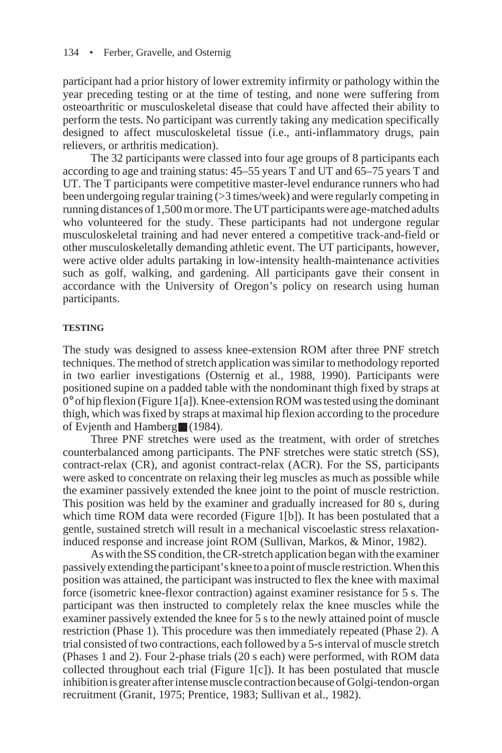participant had a prior history of lower extremity infirmity or pathology within the year preceding testing or at the time of testing, and none were suffering from osteoarthritic or musculoskeletal disease that could have affected their ability to perform the tests. No participant was currently taking any medication specifically designed to affect musculoskeletal tissue (i.e., anti-inflammatory drugs, pain relievers, or arthritis medication).

The 32 participants were classed into four age groups of 8 participants each according to age and training status: 45–55 years T and UT and 65–75 years T and UT. The T participants were competitive master-level endurance runners who had been undergoing regular training (>3 times/week) and were regularly competing in running distances of 1,500 m or more. The UT participants were age-matched adults who volunteered for the study. These participants had not undergone regular musculoskeletal training and had never entered a competitive track-and-field or other musculoskeletally demanding athletic event. The UT participants, however, were active older adults partaking in low-intensity health-maintenance activities such as golf, walking, and gardening. All participants gave their consent in accordance with the University of Oregon's policy on research using human participants.

#### **TESTING**

The study was designed to assess knee-extension ROM after three PNF stretch techniques. The method of stretch application was similar to methodology reported in two earlier investigations (Osternig et al., 1988, 1990). Participants were positioned supine on a padded table with the nondominant thigh fixed by straps at 0° of hip flexion (Figure 1[a]). Knee-extension ROM was tested using the dominant thigh, which was fixed by straps at maximal hip flexion according to the procedure of Evjenth and Hamberg■ (1984).

Three PNF stretches were used as the treatment, with order of stretches counterbalanced among participants. The PNF stretches were static stretch (SS), contract-relax (CR), and agonist contract-relax (ACR). For the SS, participants were asked to concentrate on relaxing their leg muscles as much as possible while the examiner passively extended the knee joint to the point of muscle restriction. This position was held by the examiner and gradually increased for 80 s, during which time ROM data were recorded (Figure 1[b]). It has been postulated that a gentle, sustained stretch will result in a mechanical viscoelastic stress relaxationinduced response and increase joint ROM (Sullivan, Markos, & Minor, 1982).

As with the SS condition, the CR-stretch application began with the examiner passively extending the participant's knee to a point of muscle restriction. When this position was attained, the participant was instructed to flex the knee with maximal force (isometric knee-flexor contraction) against examiner resistance for 5 s. The participant was then instructed to completely relax the knee muscles while the examiner passively extended the knee for 5 s to the newly attained point of muscle restriction (Phase 1). This procedure was then immediately repeated (Phase 2). A trial consisted of two contractions, each followed by a 5-s interval of muscle stretch (Phases 1 and 2). Four 2-phase trials (20 s each) were performed, with ROM data collected throughout each trial (Figure 1[c]). It has been postulated that muscle inhibition is greater after intense muscle contraction because of Golgi-tendon-organ recruitment (Granit, 1975; Prentice, 1983; Sullivan et al., 1982).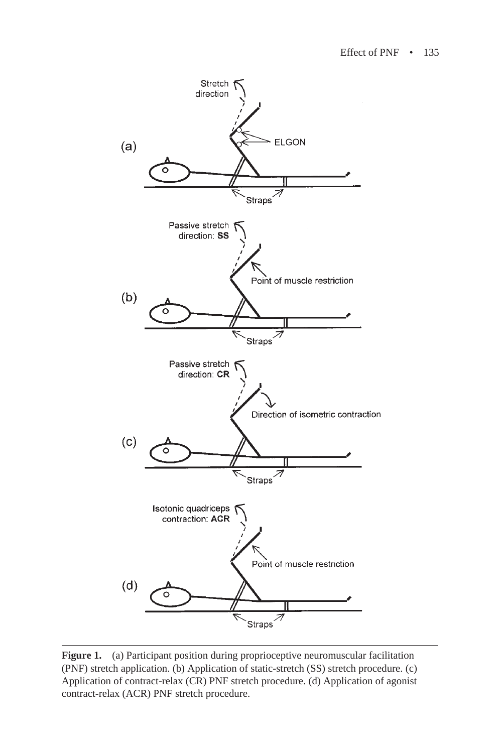

**Figure 1.** (a) Participant position during proprioceptive neuromuscular facilitation (PNF) stretch application. (b) Application of static-stretch (SS) stretch procedure. (c) Application of contract-relax (CR) PNF stretch procedure. (d) Application of agonist contract-relax (ACR) PNF stretch procedure.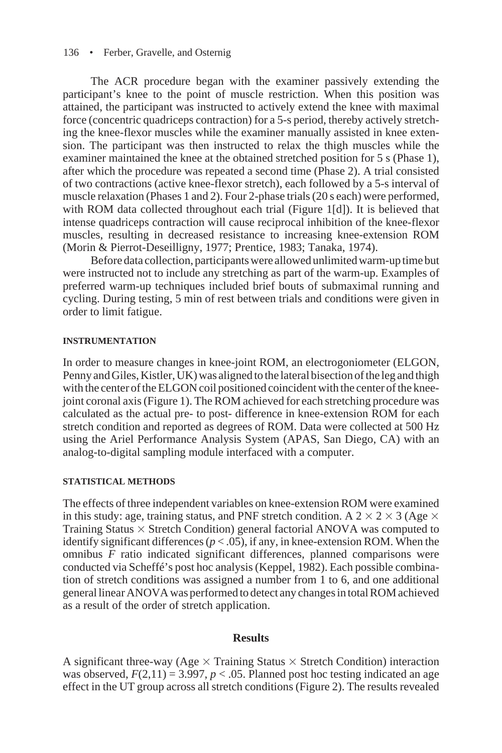#### 136 • Ferber, Gravelle, and Osternig

The ACR procedure began with the examiner passively extending the participant's knee to the point of muscle restriction. When this position was attained, the participant was instructed to actively extend the knee with maximal force (concentric quadriceps contraction) for a 5-s period, thereby actively stretching the knee-flexor muscles while the examiner manually assisted in knee extension. The participant was then instructed to relax the thigh muscles while the examiner maintained the knee at the obtained stretched position for 5 s (Phase 1), after which the procedure was repeated a second time (Phase 2). A trial consisted of two contractions (active knee-flexor stretch), each followed by a 5-s interval of muscle relaxation (Phases 1 and 2). Four 2-phase trials (20 s each) were performed, with ROM data collected throughout each trial (Figure 1[d]). It is believed that intense quadriceps contraction will cause reciprocal inhibition of the knee-flexor muscles, resulting in decreased resistance to increasing knee-extension ROM (Morin & Pierrot-Deseilligny, 1977; Prentice, 1983; Tanaka, 1974).

Before data collection, participants were allowed unlimited warm-up time but were instructed not to include any stretching as part of the warm-up. Examples of preferred warm-up techniques included brief bouts of submaximal running and cycling. During testing, 5 min of rest between trials and conditions were given in order to limit fatigue.

#### **INSTRUMENTATION**

In order to measure changes in knee-joint ROM, an electrogoniometer (ELGON, Penny and Giles, Kistler, UK) was aligned to the lateral bisection of the leg and thigh with the center of the ELGON coil positioned coincident with the center of the kneejoint coronal axis (Figure 1). The ROM achieved for each stretching procedure was calculated as the actual pre- to post- difference in knee-extension ROM for each stretch condition and reported as degrees of ROM. Data were collected at 500 Hz using the Ariel Performance Analysis System (APAS, San Diego, CA) with an analog-to-digital sampling module interfaced with a computer.

## **STATISTICAL METHODS**

The effects of three independent variables on knee-extension ROM were examined in this study: age, training status, and PNF stretch condition. A  $2 \times 2 \times 3$  (Age  $\times$ Training Status  $\times$  Stretch Condition) general factorial ANOVA was computed to identify significant differences  $(p < .05)$ , if any, in knee-extension ROM. When the omnibus *F* ratio indicated significant differences, planned comparisons were conducted via Scheffé's post hoc analysis (Keppel, 1982). Each possible combination of stretch conditions was assigned a number from 1 to 6, and one additional general linear ANOVA was performed to detect any changes in total ROM achieved as a result of the order of stretch application.

## **Results**

A significant three-way (Age  $\times$  Training Status  $\times$  Stretch Condition) interaction was observed,  $F(2,11) = 3.997$ ,  $p < .05$ . Planned post hoc testing indicated an age effect in the UT group across all stretch conditions (Figure 2). The results revealed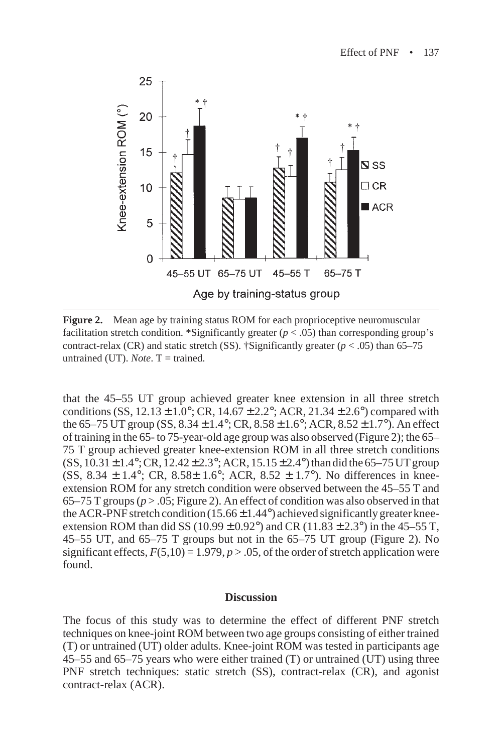

**Figure 2.** Mean age by training status ROM for each proprioceptive neuromuscular facilitation stretch condition. \*Significantly greater  $(p < .05)$  than corresponding group's contract-relax (CR) and static stretch (SS). †Significantly greater ( $p < .05$ ) than 65–75 untrained (UT). *Note*.  $T =$  trained.

that the 45–55 UT group achieved greater knee extension in all three stretch conditions (SS,  $12.13 \pm 1.0^{\circ}$ ; CR,  $14.67 \pm 2.2^{\circ}$ ; ACR,  $21.34 \pm 2.6^{\circ}$ ) compared with the 65–75 UT group (SS,  $8.34 \pm 1.4^{\circ}$ ; CR,  $8.58 \pm 1.6^{\circ}$ ; ACR,  $8.52 \pm 1.7^{\circ}$ ). An effect of training in the 65- to 75-year-old age group was also observed (Figure 2); the 65– 75 T group achieved greater knee-extension ROM in all three stretch conditions  $(SS, 10.31 \pm 1.4^{\circ}; CR, 12.42 \pm 2.3^{\circ}; ACR, 15.15 \pm 2.4^{\circ})$  than did the 65–75 UT group (SS, 8.34  $\pm$  1.4°; CR, 8.58 $\pm$  1.6°; ACR, 8.52  $\pm$  1.7°). No differences in kneeextension ROM for any stretch condition were observed between the 45–55 T and 65–75 T groups ( $p > 0.05$ ; Figure 2). An effect of condition was also observed in that the ACR-PNF stretch condition  $(15.66 \pm 1.44^{\circ})$  achieved significantly greater kneeextension ROM than did SS (10.99  $\pm$  0.92°) and CR (11.83  $\pm$  2.3°) in the 45–55 T, 45–55 UT, and 65–75 T groups but not in the 65–75 UT group (Figure 2). No significant effects,  $F(5,10) = 1.979$ ,  $p > .05$ , of the order of stretch application were found.

### **Discussion**

The focus of this study was to determine the effect of different PNF stretch techniques on knee-joint ROM between two age groups consisting of either trained (T) or untrained (UT) older adults. Knee-joint ROM was tested in participants age 45–55 and 65–75 years who were either trained (T) or untrained (UT) using three PNF stretch techniques: static stretch (SS), contract-relax (CR), and agonist contract-relax (ACR).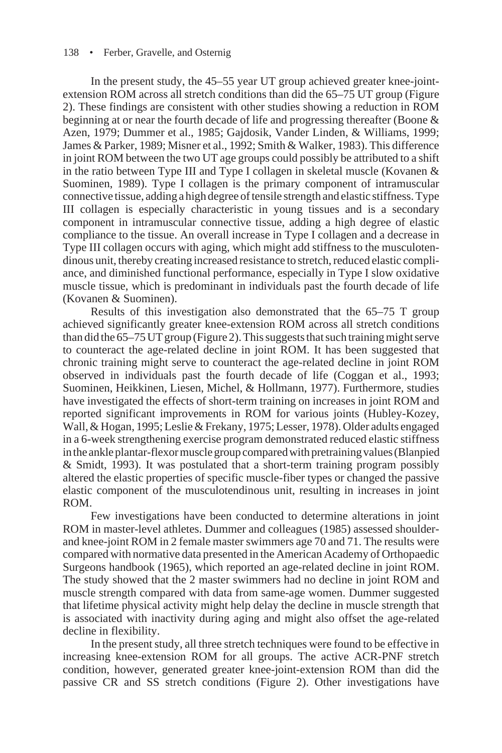#### 138 • Ferber, Gravelle, and Osternig

In the present study, the 45–55 year UT group achieved greater knee-jointextension ROM across all stretch conditions than did the 65–75 UT group (Figure 2). These findings are consistent with other studies showing a reduction in ROM beginning at or near the fourth decade of life and progressing thereafter (Boone & Azen, 1979; Dummer et al., 1985; Gajdosik, Vander Linden, & Williams, 1999; James & Parker, 1989; Misner et al., 1992; Smith & Walker, 1983). This difference in joint ROM between the two UT age groups could possibly be attributed to a shift in the ratio between Type III and Type I collagen in skeletal muscle (Kovanen  $\&$ Suominen, 1989). Type I collagen is the primary component of intramuscular connective tissue, adding a high degree of tensile strength and elastic stiffness. Type III collagen is especially characteristic in young tissues and is a secondary component in intramuscular connective tissue, adding a high degree of elastic compliance to the tissue. An overall increase in Type I collagen and a decrease in Type III collagen occurs with aging, which might add stiffness to the musculotendinous unit, thereby creating increased resistance to stretch, reduced elastic compliance, and diminished functional performance, especially in Type I slow oxidative muscle tissue, which is predominant in individuals past the fourth decade of life (Kovanen & Suominen).

Results of this investigation also demonstrated that the 65–75 T group achieved significantly greater knee-extension ROM across all stretch conditions than did the 65–75 UT group (Figure 2). This suggests that such training might serve to counteract the age-related decline in joint ROM. It has been suggested that chronic training might serve to counteract the age-related decline in joint ROM observed in individuals past the fourth decade of life (Coggan et al., 1993; Suominen, Heikkinen, Liesen, Michel, & Hollmann, 1977). Furthermore, studies have investigated the effects of short-term training on increases in joint ROM and reported significant improvements in ROM for various joints (Hubley-Kozey, Wall, & Hogan, 1995; Leslie & Frekany, 1975; Lesser, 1978). Older adults engaged in a 6-week strengthening exercise program demonstrated reduced elastic stiffness in the ankle plantar-flexor muscle group compared with pretraining values (Blanpied & Smidt, 1993). It was postulated that a short-term training program possibly altered the elastic properties of specific muscle-fiber types or changed the passive elastic component of the musculotendinous unit, resulting in increases in joint ROM.

Few investigations have been conducted to determine alterations in joint ROM in master-level athletes. Dummer and colleagues (1985) assessed shoulderand knee-joint ROM in 2 female master swimmers age 70 and 71. The results were compared with normative data presented in the American Academy of Orthopaedic Surgeons handbook (1965), which reported an age-related decline in joint ROM. The study showed that the 2 master swimmers had no decline in joint ROM and muscle strength compared with data from same-age women. Dummer suggested that lifetime physical activity might help delay the decline in muscle strength that is associated with inactivity during aging and might also offset the age-related decline in flexibility.

In the present study, all three stretch techniques were found to be effective in increasing knee-extension ROM for all groups. The active ACR-PNF stretch condition, however, generated greater knee-joint-extension ROM than did the passive CR and SS stretch conditions (Figure 2). Other investigations have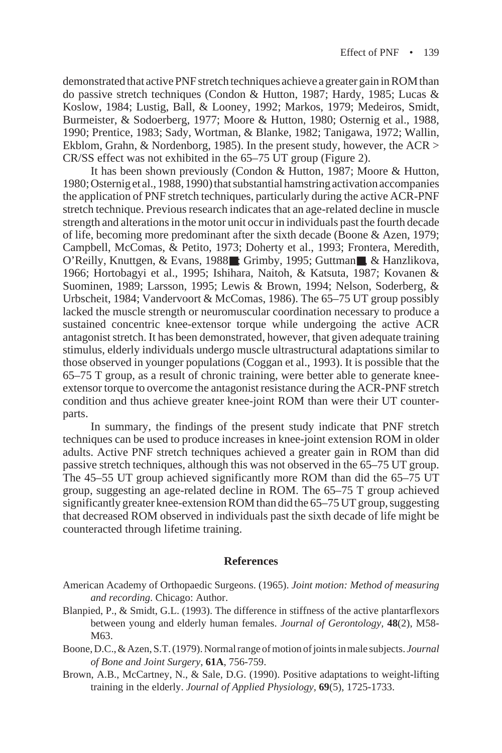demonstrated that active PNF stretch techniques achieve a greater gain in ROM than do passive stretch techniques (Condon & Hutton, 1987; Hardy, 1985; Lucas & Koslow, 1984; Lustig, Ball, & Looney, 1992; Markos, 1979; Medeiros, Smidt, Burmeister, & Sodoerberg, 1977; Moore & Hutton, 1980; Osternig et al., 1988, 1990; Prentice, 1983; Sady, Wortman, & Blanke, 1982; Tanigawa, 1972; Wallin, Ekblom, Grahn, & Nordenborg, 1985). In the present study, however, the ACR > CR/SS effect was not exhibited in the 65–75 UT group (Figure 2).

It has been shown previously (Condon & Hutton, 1987; Moore & Hutton, 1980; Osternig et al., 1988, 1990) that substantial hamstring activation accompanies the application of PNF stretch techniques, particularly during the active ACR-PNF stretch technique. Previous research indicates that an age-related decline in muscle strength and alterations in the motor unit occur in individuals past the fourth decade of life, becoming more predominant after the sixth decade (Boone & Azen, 1979; Campbell, McComas, & Petito, 1973; Doherty et al., 1993; Frontera, Meredith, O'Reilly, Knuttgen, & Evans, 1988■; Grimby, 1995; Guttman■, & Hanzlikova, 1966; Hortobagyi et al., 1995; Ishihara, Naitoh, & Katsuta, 1987; Kovanen & Suominen, 1989; Larsson, 1995; Lewis & Brown, 1994; Nelson, Soderberg, & Urbscheit, 1984; Vandervoort & McComas, 1986). The 65–75 UT group possibly lacked the muscle strength or neuromuscular coordination necessary to produce a sustained concentric knee-extensor torque while undergoing the active ACR antagonist stretch. It has been demonstrated, however, that given adequate training stimulus, elderly individuals undergo muscle ultrastructural adaptations similar to those observed in younger populations (Coggan et al., 1993). It is possible that the 65–75 T group, as a result of chronic training, were better able to generate kneeextensor torque to overcome the antagonist resistance during the ACR-PNF stretch condition and thus achieve greater knee-joint ROM than were their UT counterparts.

In summary, the findings of the present study indicate that PNF stretch techniques can be used to produce increases in knee-joint extension ROM in older adults. Active PNF stretch techniques achieved a greater gain in ROM than did passive stretch techniques, although this was not observed in the 65–75 UT group. The 45–55 UT group achieved significantly more ROM than did the 65–75 UT group, suggesting an age-related decline in ROM. The 65–75 T group achieved significantly greater knee-extension ROM than did the 65–75 UT group, suggesting that decreased ROM observed in individuals past the sixth decade of life might be counteracted through lifetime training.

#### **References**

- American Academy of Orthopaedic Surgeons. (1965). *Joint motion: Method of measuring and recording*. Chicago: Author.
- Blanpied, P., & Smidt, G.L. (1993). The difference in stiffness of the active plantarflexors between young and elderly human females. *Journal of Gerontology,* **48**(2), M58- M63.
- Boone, D.C., & Azen, S.T. (1979). Normal range of motion of joints in male subjects. *Journal of Bone and Joint Surgery,* **61A**, 756-759.
- Brown, A.B., McCartney, N., & Sale, D.G. (1990). Positive adaptations to weight-lifting training in the elderly. *Journal of Applied Physiology,* **69**(5), 1725-1733.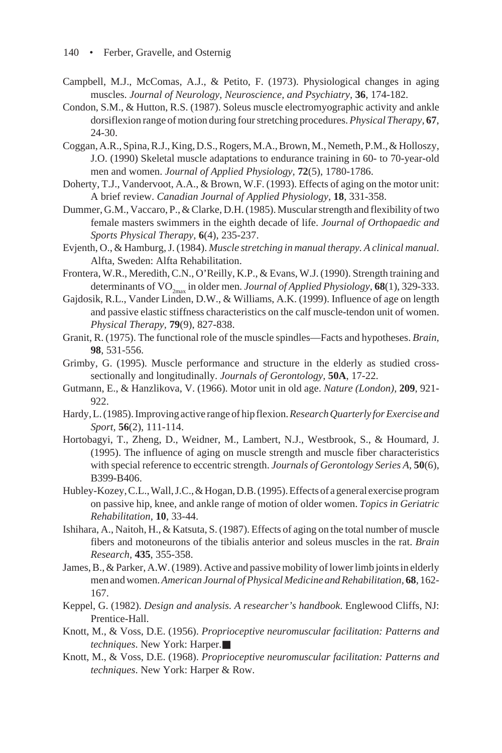- Campbell, M.J., McComas, A.J., & Petito, F. (1973). Physiological changes in aging muscles. *Journal of Neurology, Neuroscience, and Psychiatry,* **36**, 174-182.
- Condon, S.M., & Hutton, R.S. (1987). Soleus muscle electromyographic activity and ankle dorsiflexion range of motion during four stretching procedures. *Physical Therapy,* **67**, 24-30.
- Coggan, A.R., Spina, R.J., King, D.S., Rogers, M.A., Brown, M., Nemeth, P.M., & Holloszy, J.O. (1990) Skeletal muscle adaptations to endurance training in 60- to 70-year-old men and women. *Journal of Applied Physiology,* **72**(5), 1780-1786.
- Doherty, T.J., Vandervoot, A.A., & Brown, W.F. (1993). Effects of aging on the motor unit: A brief review. *Canadian Journal of Applied Physiology,* **18**, 331-358.
- Dummer, G.M., Vaccaro, P., & Clarke, D.H. (1985). Muscular strength and flexibility of two female masters swimmers in the eighth decade of life. *Journal of Orthopaedic and Sports Physical Therapy,* **6**(4), 235-237.
- Evjenth, O., & Hamburg, J. (1984). *Muscle stretching in manual therapy. A clinical manual*. Alfta, Sweden: Alfta Rehabilitation.
- Frontera, W.R., Meredith, C.N., O'Reilly, K.P., & Evans, W.J. (1990). Strength training and determinants of VO<sub>2max</sub> in older men. *Journal of Applied Physiology*, **68**(1), 329-333.
- Gajdosik, R.L., Vander Linden, D.W., & Williams, A.K. (1999). Influence of age on length and passive elastic stiffness characteristics on the calf muscle-tendon unit of women. *Physical Therapy,* **79**(9), 827-838.
- Granit, R. (1975). The functional role of the muscle spindles—Facts and hypotheses. *Brain,* **98**, 531-556.
- Grimby, G. (1995). Muscle performance and structure in the elderly as studied crosssectionally and longitudinally. *Journals of Gerontology,* **50A**, 17-22.
- Gutmann, E., & Hanzlikova, V. (1966). Motor unit in old age. *Nature (London),* **209**, 921- 922.
- Hardy, L. (1985). Improving active range of hip flexion. *Research Quarterly for Exercise and Sport,* **56**(2), 111-114.
- Hortobagyi, T., Zheng, D., Weidner, M., Lambert, N.J., Westbrook, S., & Houmard, J. (1995). The influence of aging on muscle strength and muscle fiber characteristics with special reference to eccentric strength. *Journals of Gerontology Series A,* **50**(6), B399-B406.
- Hubley-Kozey, C.L., Wall, J.C., & Hogan, D.B. (1995). Effects of a general exercise program on passive hip, knee, and ankle range of motion of older women. *Topics in Geriatric Rehabilitation,* **10**, 33-44.
- Ishihara, A., Naitoh, H., & Katsuta, S. (1987). Effects of aging on the total number of muscle fibers and motoneurons of the tibialis anterior and soleus muscles in the rat. *Brain Research,* **435**, 355-358.
- James, B., & Parker, A.W. (1989). Active and passive mobility of lower limb joints in elderly men and women. *American Journal of Physical Medicine and Rehabilitation,* **68**, 162- 167.
- Keppel, G. (1982). *Design and analysis. A researcher's handbook*. Englewood Cliffs, NJ: Prentice-Hall.
- Knott, M., & Voss, D.E. (1956). *Proprioceptive neuromuscular facilitation: Patterns and techniques*. New York: Harper.■
- Knott, M., & Voss, D.E. (1968). *Proprioceptive neuromuscular facilitation: Patterns and techniques*. New York: Harper & Row.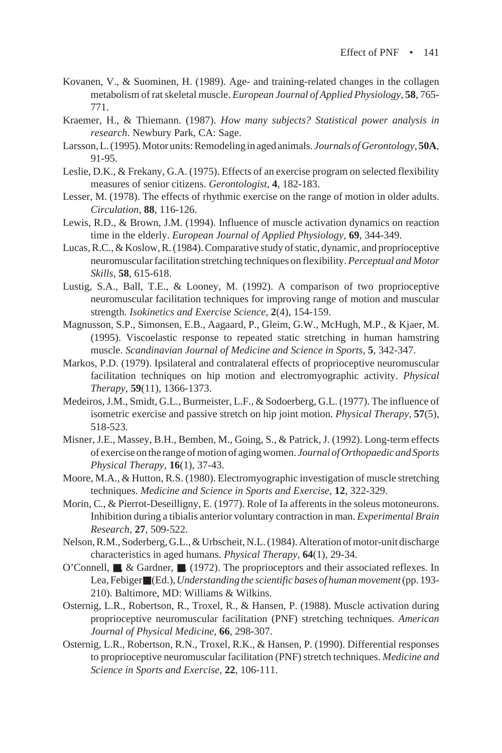- Kovanen, V., & Suominen, H. (1989). Age- and training-related changes in the collagen metabolism of rat skeletal muscle. *European Journal of Applied Physiology,* **58**, 765- 771.
- Kraemer, H., & Thiemann. (1987). *How many subjects? Statistical power analysis in research*. Newbury Park, CA: Sage.
- Larsson, L. (1995). Motor units: Remodeling in aged animals. *Journals of Gerontology,* **50A**, 91-95.
- Leslie, D.K., & Frekany, G.A. (1975). Effects of an exercise program on selected flexibility measures of senior citizens. *Gerontologist,* **4**, 182-183.
- Lesser, M. (1978). The effects of rhythmic exercise on the range of motion in older adults. *Circulation,* **88**, 116-126.
- Lewis, R.D., & Brown, J.M. (1994). Influence of muscle activation dynamics on reaction time in the elderly. *European Journal of Applied Physiology,* **69**, 344-349.
- Lucas, R.C., & Koslow, R. (1984). Comparative study of static, dynamic, and proprioceptive neuromuscular facilitation stretching techniques on flexibility. *Perceptual and Motor Skills,* **58**, 615-618.
- Lustig, S.A., Ball, T.E., & Looney, M. (1992). A comparison of two proprioceptive neuromuscular facilitation techniques for improving range of motion and muscular strength. *Isokinetics and Exercise Science,* **2**(4), 154-159.
- Magnusson, S.P., Simonsen, E.B., Aagaard, P., Gleim, G.W., McHugh, M.P., & Kjaer, M. (1995). Viscoelastic response to repeated static stretching in human hamstring muscle. *Scandinavian Journal of Medicine and Science in Sports,* **5**, 342-347.
- Markos, P.D. (1979). Ipsilateral and contralateral effects of proprioceptive neuromuscular facilitation techniques on hip motion and electromyographic activity. *Physical Therapy,* **59**(11), 1366-1373.
- Medeiros, J.M., Smidt, G.L., Burmeister, L.F., & Sodoerberg, G.L. (1977). The influence of isometric exercise and passive stretch on hip joint motion. *Physical Therapy,* **57**(5), 518-523.
- Misner, J.E., Massey, B.H., Bemben, M., Going, S., & Patrick, J. (1992). Long-term effects of exercise on the range of motion of aging women. *Journal of Orthopaedic and Sports Physical Therapy,* **16**(1), 37-43.
- Moore, M.A., & Hutton, R.S. (1980). Electromyographic investigation of muscle stretching techniques. *Medicine and Science in Sports and Exercise,* **12**, 322-329.
- Morin, C., & Pierrot-Deseilligny, E. (1977). Role of Ia afferents in the soleus motoneurons. Inhibition during a tibialis anterior voluntary contraction in man. *Experimental Brain Research,* **27**, 509-522.
- Nelson, R.M., Soderberg, G.L., & Urbscheit, N.L. (1984). Alteration of motor-unit discharge characteristics in aged humans. *Physical Therapy,* **64**(1), 29-34.
- O'Connell, ■, & Gardner, ■. (1972). The proprioceptors and their associated reflexes. In Lea, Febiger■ (Ed.), *Understanding the scientific bases of human movement* (pp. 193- 210). Baltimore, MD: Williams & Wilkins.
- Osternig, L.R., Robertson, R., Troxel, R., & Hansen, P. (1988). Muscle activation during proprioceptive neuromuscular facilitation (PNF) stretching techniques. *American Journal of Physical Medicine,* **66**, 298-307.
- Osternig, L.R., Robertson, R.N., Troxel, R.K., & Hansen, P. (1990). Differential responses to proprioceptive neuromuscular facilitation (PNF) stretch techniques. *Medicine and Science in Sports and Exercise,* **22**, 106-111.